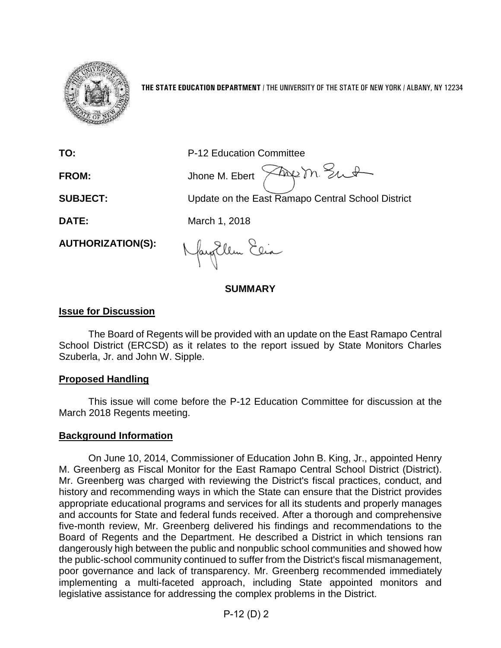

**THE STATE EDUCATION DEPARTMENT** / THE UNIVERSITY OF THE STATE OF NEW YORK / ALBANY, NY 12234

**TO:** P-12 Education Committee

FROM: Jhone M. Ebert  $\widehat{\times}$ Aug m. Sunt

**SUBJECT:** Update on the East Ramapo Central School District

**DATE:** March 1, 2018

**AUTHORIZATION(S):**

fayillen Elia

**SUMMARY**

## **Issue for Discussion**

The Board of Regents will be provided with an update on the East Ramapo Central School District (ERCSD) as it relates to the report issued by State Monitors Charles Szuberla, Jr. and John W. Sipple.

#### **Proposed Handling**

This issue will come before the P-12 Education Committee for discussion at the March 2018 Regents meeting.

## **Background Information**

On June 10, 2014, Commissioner of Education John B. King, Jr., appointed Henry M. Greenberg as Fiscal Monitor for the East Ramapo Central School District (District). Mr. Greenberg was charged with reviewing the District's fiscal practices, conduct, and history and recommending ways in which the State can ensure that the District provides appropriate educational programs and services for all its students and properly manages and accounts for State and federal funds received. After a thorough and comprehensive five-month review, Mr. Greenberg delivered his findings and recommendations to the Board of Regents and the Department. He described a District in which tensions ran dangerously high between the public and nonpublic school communities and showed how the public-school community continued to suffer from the District's fiscal mismanagement, poor governance and lack of transparency. Mr. Greenberg recommended immediately implementing a multi-faceted approach, including State appointed monitors and legislative assistance for addressing the complex problems in the District.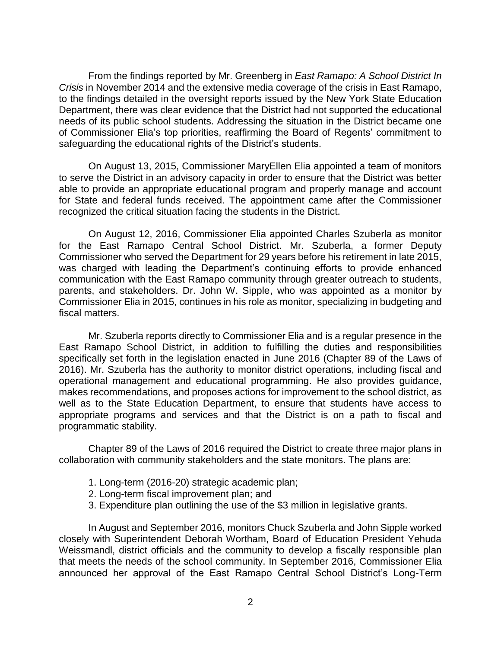From the findings reported by Mr. Greenberg in *East Ramapo: A School District In Crisis* in November 2014 and the extensive media coverage of the crisis in East Ramapo, to the findings detailed in the oversight reports issued by the New York State Education Department, there was clear evidence that the District had not supported the educational needs of its public school students. Addressing the situation in the District became one of Commissioner Elia's top priorities, reaffirming the Board of Regents' commitment to safeguarding the educational rights of the District's students.

On August 13, 2015, Commissioner MaryEllen Elia appointed a team of monitors to serve the District in an advisory capacity in order to ensure that the District was better able to provide an appropriate educational program and properly manage and account for State and federal funds received. The appointment came after the Commissioner recognized the critical situation facing the students in the District.

On August 12, 2016, Commissioner Elia appointed Charles Szuberla as monitor for the East Ramapo Central School District. Mr. Szuberla, a former Deputy Commissioner who served the Department for 29 years before his retirement in late 2015, was charged with leading the Department's continuing efforts to provide enhanced communication with the East Ramapo community through greater outreach to students, parents, and stakeholders. Dr. John W. Sipple, who was appointed as a monitor by Commissioner Elia in 2015, continues in his role as monitor, specializing in budgeting and fiscal matters.

Mr. Szuberla reports directly to Commissioner Elia and is a regular presence in the East Ramapo School District, in addition to fulfilling the duties and responsibilities specifically set forth in the legislation enacted in June 2016 (Chapter 89 of the Laws of 2016). Mr. Szuberla has the authority to monitor district operations, including fiscal and operational management and educational programming. He also provides guidance, makes recommendations, and proposes actions for improvement to the school district, as well as to the State Education Department, to ensure that students have access to appropriate programs and services and that the District is on a path to fiscal and programmatic stability.

Chapter 89 of the Laws of 2016 required the District to create three major plans in collaboration with community stakeholders and the state monitors. The plans are:

- 1. Long-term (2016-20) strategic academic plan;
- 2. Long-term fiscal improvement plan; and
- 3. Expenditure plan outlining the use of the \$3 million in legislative grants.

In August and September 2016, monitors Chuck Szuberla and John Sipple worked closely with Superintendent Deborah Wortham, Board of Education President Yehuda Weissmandl, district officials and the community to develop a fiscally responsible plan that meets the needs of the school community. In September 2016, Commissioner Elia announced her approval of the East Ramapo Central School District's Long-Term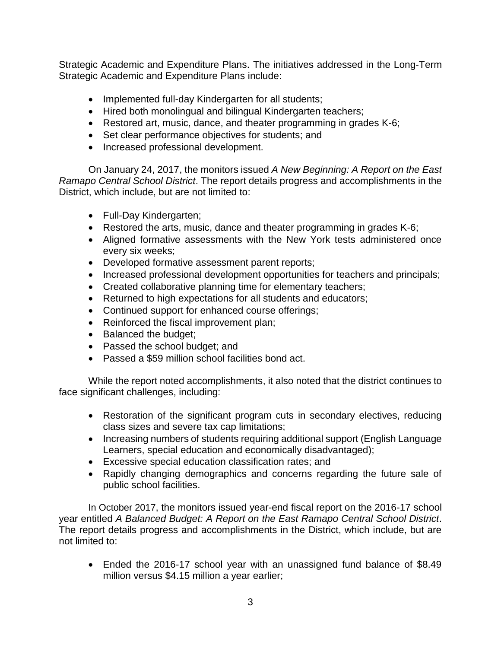Strategic Academic and Expenditure Plans. The initiatives addressed in the Long-Term Strategic Academic and Expenditure Plans include:

- Implemented full-day Kindergarten for all students;
- Hired both monolingual and bilingual Kindergarten teachers;
- Restored art, music, dance, and theater programming in grades K-6;
- Set clear performance objectives for students; and
- Increased professional development.

On January 24, 2017, the monitors issued *A New Beginning: A Report on the East Ramapo Central School District*. The report details progress and accomplishments in the District, which include, but are not limited to:

- Full-Day Kindergarten;
- Restored the arts, music, dance and theater programming in grades K-6;
- Aligned formative assessments with the New York tests administered once every six weeks;
- Developed formative assessment parent reports;
- Increased professional development opportunities for teachers and principals;
- Created collaborative planning time for elementary teachers;
- Returned to high expectations for all students and educators;
- Continued support for enhanced course offerings;
- Reinforced the fiscal improvement plan;
- Balanced the budget;
- Passed the school budget; and
- Passed a \$59 million school facilities bond act.

While the report noted accomplishments, it also noted that the district continues to face significant challenges, including:

- Restoration of the significant program cuts in secondary electives, reducing class sizes and severe tax cap limitations;
- Increasing numbers of students requiring additional support (English Language Learners, special education and economically disadvantaged);
- Excessive special education classification rates; and
- Rapidly changing demographics and concerns regarding the future sale of public school facilities.

In October 2017, the monitors issued year-end fiscal report on the 2016-17 school year entitled *A Balanced Budget: A Report on the East Ramapo Central School District*. The report details progress and accomplishments in the District, which include, but are not limited to:

• Ended the 2016-17 school year with an unassigned fund balance of \$8.49 million versus \$4.15 million a year earlier;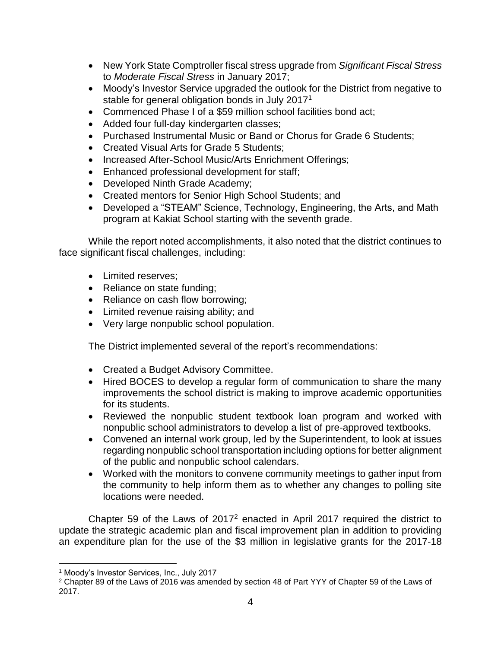- New York State Comptroller fiscal stress upgrade from *Significant Fiscal Stress* to *Moderate Fiscal Stress* in January 2017;
- Moody's Investor Service upgraded the outlook for the District from negative to stable for general obligation bonds in July 2017<sup>1</sup>
- Commenced Phase I of a \$59 million school facilities bond act;
- Added four full-day kindergarten classes;
- Purchased Instrumental Music or Band or Chorus for Grade 6 Students;
- Created Visual Arts for Grade 5 Students;
- Increased After-School Music/Arts Enrichment Offerings;
- Enhanced professional development for staff;
- Developed Ninth Grade Academy;
- Created mentors for Senior High School Students; and
- Developed a "STEAM" Science, Technology, Engineering, the Arts, and Math program at Kakiat School starting with the seventh grade.

While the report noted accomplishments, it also noted that the district continues to face significant fiscal challenges, including:

- Limited reserves:
- Reliance on state funding;
- Reliance on cash flow borrowing;
- Limited revenue raising ability; and
- Very large nonpublic school population.

The District implemented several of the report's recommendations:

- Created a Budget Advisory Committee.
- Hired BOCES to develop a regular form of communication to share the many improvements the school district is making to improve academic opportunities for its students.
- Reviewed the nonpublic student textbook loan program and worked with nonpublic school administrators to develop a list of pre-approved textbooks.
- Convened an internal work group, led by the Superintendent, to look at issues regarding nonpublic school transportation including options for better alignment of the public and nonpublic school calendars.
- Worked with the monitors to convene community meetings to gather input from the community to help inform them as to whether any changes to polling site locations were needed.

Chapter 59 of the Laws of 2017<sup>2</sup> enacted in April 2017 required the district to update the strategic academic plan and fiscal improvement plan in addition to providing an expenditure plan for the use of the \$3 million in legislative grants for the 2017-18

 $\overline{a}$ <sup>1</sup> Moody's Investor Services, Inc., July 2017

<sup>2</sup> Chapter 89 of the Laws of 2016 was amended by section 48 of Part YYY of Chapter 59 of the Laws of 2017.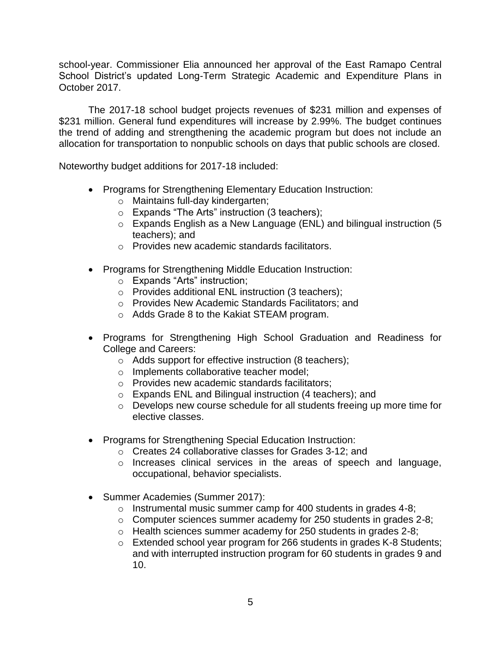school-year. Commissioner Elia announced her approval of the East Ramapo Central School District's updated Long-Term Strategic Academic and Expenditure Plans in October 2017.

The 2017-18 school budget projects revenues of \$231 million and expenses of \$231 million. General fund expenditures will increase by 2.99%. The budget continues the trend of adding and strengthening the academic program but does not include an allocation for transportation to nonpublic schools on days that public schools are closed.

Noteworthy budget additions for 2017-18 included:

- Programs for Strengthening Elementary Education Instruction:
	- o Maintains full-day kindergarten;
	- o Expands "The Arts" instruction (3 teachers);
	- o Expands English as a New Language (ENL) and bilingual instruction (5 teachers); and
	- o Provides new academic standards facilitators.
- Programs for Strengthening Middle Education Instruction:
	- o Expands "Arts" instruction;
	- o Provides additional ENL instruction (3 teachers);
	- o Provides New Academic Standards Facilitators; and
	- o Adds Grade 8 to the Kakiat STEAM program.
- Programs for Strengthening High School Graduation and Readiness for College and Careers:
	- o Adds support for effective instruction (8 teachers);
	- o Implements collaborative teacher model;
	- o Provides new academic standards facilitators;
	- o Expands ENL and Bilingual instruction (4 teachers); and
	- o Develops new course schedule for all students freeing up more time for elective classes.
- Programs for Strengthening Special Education Instruction:
	- o Creates 24 collaborative classes for Grades 3-12; and
	- o Increases clinical services in the areas of speech and language, occupational, behavior specialists.
- Summer Academies (Summer 2017):
	- o Instrumental music summer camp for 400 students in grades 4-8;
	- o Computer sciences summer academy for 250 students in grades 2-8;
	- o Health sciences summer academy for 250 students in grades 2-8;
	- o Extended school year program for 266 students in grades K-8 Students; and with interrupted instruction program for 60 students in grades 9 and 10.